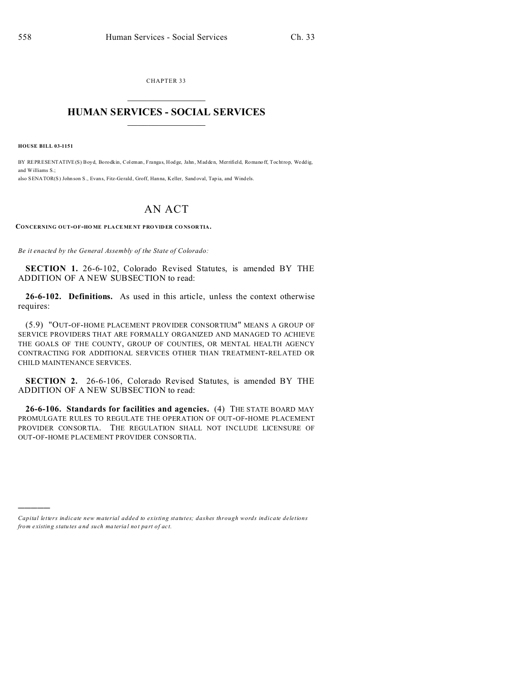CHAPTER 33  $\overline{\phantom{a}}$  , where  $\overline{\phantom{a}}$ 

## **HUMAN SERVICES - SOCIAL SERVICES**  $\_$   $\_$   $\_$   $\_$   $\_$   $\_$   $\_$   $\_$

**HOUSE BILL 03-1151**

)))))

BY REPRESENTATIVE(S) Boyd, Borodkin, Coleman, Frangas, Hodge, Jahn, Madden, Merrifield, Romano ff, Tochtrop, Weddig, and Williams  $S$ . also SENATOR(S) John son S., Evans, Fitz-Gerald, Groff, Hanna, Keller, Sand oval, Tap ia, and Windels.

## AN ACT

**CONCERNING OUT-OF-HO ME PLA CEME NT PRO VIDER CO NSOR TIA.**

*Be it enacted by the General Assembly of the State of Colorado:*

**SECTION 1.** 26-6-102, Colorado Revised Statutes, is amended BY THE ADDITION OF A NEW SUBSECTION to read:

**26-6-102. Definitions.** As used in this article, unless the context otherwise requires:

(5.9) "OUT-OF-HOME PLACEMENT PROVIDER CONSORTIUM" MEANS A GROUP OF SERVICE PROVIDERS THAT ARE FORMALLY ORGANIZED AND MANAGED TO ACHIEVE THE GOALS OF THE COUNTY, GROUP OF COUNTIES, OR MENTAL HEALTH AGENCY CONTRACTING FOR ADDITIONAL SERVICES OTHER THAN TREATMENT-RELATED OR CHILD MAINTENANCE SERVICES.

**SECTION 2.** 26-6-106, Colorado Revised Statutes, is amended BY THE ADDITION OF A NEW SUBSECTION to read:

**26-6-106. Standards for facilities and agencies.** (4) THE STATE BOARD MAY PROMULGATE RULES TO REGULATE THE OPERATION OF OUT-OF-HOME PLACEMENT PROVIDER CONSORTIA. THE REGULATION SHALL NOT INCLUDE LICENSURE OF OUT-OF-HOME PLACEMENT PROVIDER CONSORTIA.

*Capital letters indicate new material added to existing statutes; dashes through words indicate deletions from e xistin g statu tes a nd such ma teria l no t pa rt of ac t.*